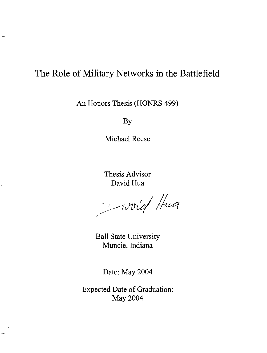# The Role of Military Networks in the Battlefield

 $\overline{a}$ 

.<br>...

An Honors Thesis (HONRS 499)

By

Michael Reese

Thesis Advisor David Hua

Frivid Hua

Ball State University Muncie, Indiana

Date: May 2004

Expected Date of Graduation: May 2004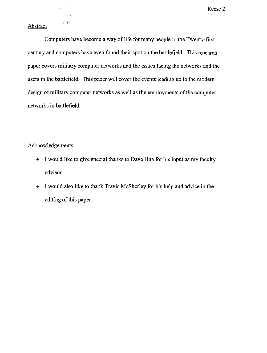#### Abstract

¥  $\mathcal{I}$ 

 $23.747$ 

Computers have become a way of life for many people in the Twenty-first century and computers have even found their spot on the battlefield. This research paper covers military computer networks and the issues facing the networks and the users in the battlefield. This paper will cover the events leading up to the modem design of military computer networks as well as the employments of the computer networks in battlefield.

#### Acknowledgements

- I would like to give special thanks to Dave Hua for his input as my faculty advisor.
- I would also like to thank Travis McSherley for his help and advice in the editing of this paper.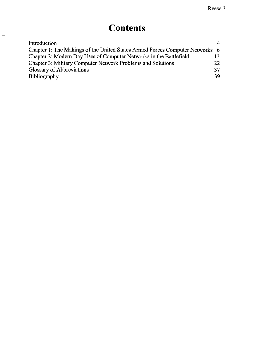# **Contents**

 $\overline{\phantom{0}}$ 

 $\overline{\phantom{0}}$ 

 $\frac{1}{\sqrt{2}}$ 

| Introduction                                                                 | 4   |
|------------------------------------------------------------------------------|-----|
| Chapter 1: The Makings of the United States Armed Forces Computer Networks 6 |     |
| Chapter 2: Modern Day Uses of Computer Networks in the Battlefield           |     |
| Chapter 3: Military Computer Network Problems and Solutions                  | 22  |
| Glossary of Abbreviations                                                    | 37  |
| Bibliography                                                                 | 39. |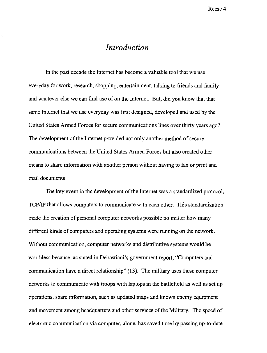### *Introduction*

In the past decade the Internet has become a valuable tool that we use everyday for work, research, shopping, entertainment, talking to friends and family and whatever else we can find use of on the Internet. But, did you know that that same Internet that we use everyday was first designed, developed and used by the United States Anned Forces for secure communications lines over thirty years ago? The development of the Internet provided not only another method of secure communications between the United States Anned Forces but also created other means to share information with another person without having to fax or print and mail documents

The key event in the development of the Internet was a standardized protocol, TCP/IP that allows computers to communicate with each other. This standardization made the creation of personal computer networks possible no matter how many different kinds of computers and operating systems were running on the network. Without communication, computer networks and distributive systems would be worthless because, as stated in Debastiani's government report, "Computers and communication have a direct relationship" (l3). The military uses these computer networks to communicate with troops with laptops in the battlefield as well as set up operations, share information, such as updated maps and known enemy equipment and movement among headquarters and other services of the Military. The speed of electronic communication via computer, alone, has saved time by passing up-to-date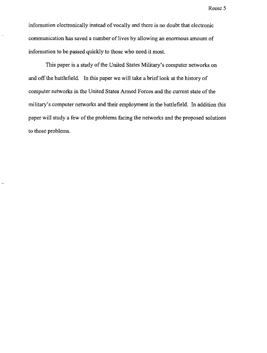information electronically instead of vocally and there is no doubt that electronic communication has saved a number of lives by allowing an enormous amount of information to be passed quickly to those who need it most.

This paper is a study of the United States Military's computer networks on and off the battlefield. **In** this paper we will take a brieflook at the history of computer networks in the United States Armed Forces and the current state of the military's computer networks and their employment in the battlefield. In addition this paper will study a few of the problems facing the networks and the proposed solutions to those problems.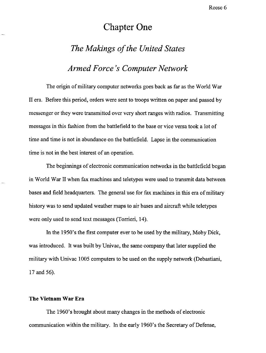## **Chapter One**

## *The Makings of the United States*

*Armed Force's Computer Network* 

The origin of military computer networks goes back as far as the World War II era. Before this period, orders were sent to troops written on paper and passed by messenger or they were transmitted over very short ranges with radios. Transmitting messages in this fashion from the battlefield to the base or vice versa took a lot of time and time is not in abundance on the battlefield. Lapse in the communication time is not in the best interest of an operation.

The beginnings of electronic communication networks in the battlefield began in World War II when fax machines and teletypes were used to transmit data between bases and field headquarters. The general use for fax machines in this era of military history was to send updated weather maps to air bases and aircraft while teletypes were only used to send text messages (Torrieri, 14).

In the 1950's the first computer ever to be used by the military, Moby Dick, was introduced. It was built by Univac, the same company that later supplied the military with Univac 1005 computers to be used on the supply network (Debastiani, 17 and 56).

#### **The Vietnam War Era**

The 1960's brought about many changes in the methods of electronic communication within the military. In the early 1960's the Secretary of Defense,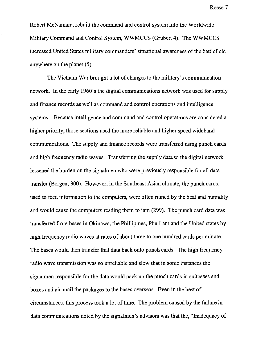Robert McNamara, rebuilt the command and control system into the Worldwide Military Command and Control System, WWMCCS (Gruber, 4). The WWMCCS increased United States military commanders' situational awareness of the battlefield anywhere on the planet (5).

The Vietnam War brought a lot of changes to the military's communication network. In the early 1960's the digital communications network was used for supply and finance records as well as command and control operations and intelligence systems. Because intelligence and command and control operations are considered a higher priority, those sections used the more reliable and higher speed wideband communications. The supply and finance records were transferred using punch cards and high frequency radio waves. Transferring the supply data to the digital network lessened the burden on the signalmen who were previously responsible for all data transfer (Bergen, 300). However, in the Southeast Asian climate, the punch cards, used to feed information to the computers, were often ruined by the heat and humidity and would cause the computers reading them to jam (299). The punch card data was transferred from bases in Okinawa, the Phillipines, Phu Lam and the United states by high frequency radio waves at rates of about three to one hundred cards per minute. The bases would then transfer that data back onto punch cards. The high frequency radio wave transmission was so unreliable and slow that in some instances the signalmen responsible for the data would pack up the punch cards in suitcases and boxes and air-mail the packages to the bases overseas. Even in the best of circumstances, this process took a lot of time. The problem caused by the failure in data communications noted by the signalmen's advisors was that the, "Inadequacy of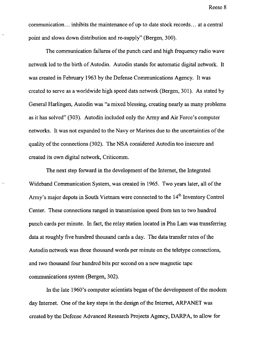communication ... inhibits the maintenance of up-to-date stock records ... at a central point and slows down distribution and re-supply" (Bergen, 300).

The communication failures of the punch card and high frequency radio wave network led to the birth of Autodin. Autodin stands for automatic digital network. It was created in February 1963 by the Defense Communications Agency. It was created to serve as a worldwide high speed data network (Bergen, 301). As stated by General Harlingen, Autodin was "a mixed blessing, creating nearly as many problems as it has solved" (303). Autodin included only the Army and Air Force's computer networks. It was not expanded to the Navy or Marines due to the uncertainties of the quality of the connections (302). The NSA considered Autodin too insecure and created its own digital network, Criticomm.

The next step forward in the development of the Internet, the Integrated Wideband Communication System, was created in 1965. Two years later, all of the Army's major depots in South Vietnam were connected to the 14<sup>th</sup> Inventory Control Center. These connections ranged in transmission speed from ten to two hundred punch cards per minute. In fact, the relay station located in Phu Lam was transferring data at roughly five hundred thousand cards a day. The data transfer rates of the Autodin network was three thousand words per minute on the teletype connections, and two thousand four hundred bits per second on a new magnetic tape communications system (Bergen, 302).

In the late 1960's computer scientists began of the development of the modern day Internet. One of the key steps in the design of the Internet, ARPANET was created by the Defense Advanced Research Projects Agency, DARPA, to allow for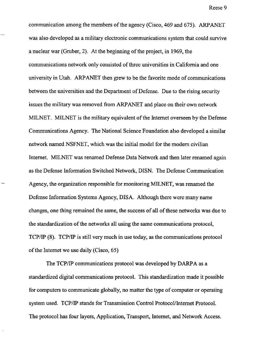communication among the members of the agency (Cisco, 469 and 675). ARPANET was also developed as a military electronic communications system that could survive a nuclear war (Gruber, 2). At the beginning of the project, in 1969, the communications network only consisted of three universities in California and one university in Utah. ARPANET then grew to be the favorite mode of communications between the universities and the Department of Defense. Due to the rising security issues the military was removed from ARPANET and place on their own network MILNET. MILNET is the military equivalent of the Internet overseen by the Defense Communications Agency. The National Science Foundation also developed a similar network named NSFNET, which was the initial model for the modem civilian Internet. MILNET was renamed Defense Data Network and then later renamed again as the Defense Information Switched Network, DISN. The Defense Communication Agency, the organization responsible for monitoring MILNET, was renamed the Defense Information Systems Agency, DISA. Although there were many name changes, one thing remained the same, the success of all of these networks was due to the standardization of the networks all using the same communications protocol, TCP/IP (8). TCP/IP is still very much in use today, as the communications protocol of the Internet we use daily (Cisco, 65)

The TCP/IP communications protocol was developed by DARPA as a standardized digital communications protocol. This standardization made it possible for computers to communicate globally, no matter the type of computer or operating system used. TCP/IP stands for Transmission Control Protocol/Internet Protocol. The protocol has four layers, Application, Transport, Internet, and Network Access.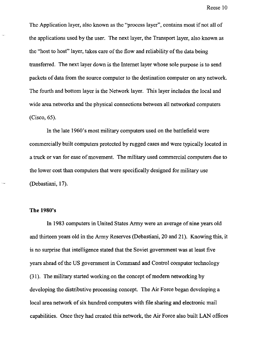The Application layer, also known as the "process layer", contains most if not all of the applications used by the user. The next layer, the Transport layer, also known as the "host to host" layer, takes care of the flow and reliability of the data being transferred. The next layer down is the Internet layer whose sole purpose is to send packets of data from the source computer to the destination computer on any network. The fourth and bottom layer is the Network layer. This layer includes the local and wide area networks and the physical connections between all networked computers (Cisco, 65).

**In** the late 1960's most military computers used on the battlefield were commercially built computers protected by rugged cases and were typically located in a truck or van for ease of movement. The military used commercial computers due to the lower cost than computers that were specifically designed for military use (Debastiani, 17).

#### **The 1980's**

In 1983 computers in United States Army were an average of nine years old and thirteen years old in the Army Reserves (Debastiani, 20 and 21). Knowing this, it is no surprise that intelligence stated that the Soviet government was at least five years ahead of the US government in Command and Control computer technology (31). The military started working on the concept of modern networking by developing the distributive processing concept. The Air Force began developing a local area network of six hundred computers with file sharing and electronic mail capabilities. Once they had created this network, the Air Force also built LAN offices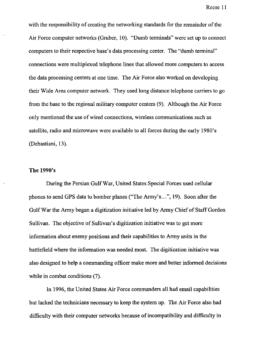with the responsibility of creating the networking standards for the remainder of the Air Force computer networks (Gruber, 10). "Dumb terminals" were set up to connect computers to their respective base's data processing center. The "dumb terminal" connections were multiplexed telephone lines that allowed more computers to access the data processing centers at one time. The Air Force also worked on developing their Wide Area computer network. They used long distance telephone carriers to go from the base to the regional military computer centers (9). Although the Air Force only mentioned the use of wired connections, wireless communications such as satellite, radio and microwave were available to all forces during the early 1980's (Debastiani, 13).

#### **The 1990's**

During the Persian Gulf War, United States Special Forces used cellular phones to send GPS data to bomber planes ("The Army's ... ", 19). Soon after the Gulf War the Army began a digitization initiative led by Army Chief of Staff Gordon Sullivan. The objective of Sullivan's digitization initiative was to get more information about enemy positions and their capabilities to Army units in the battlefield where the information was needed most. The digitization initiative was also designed to help a commanding officer make more and better informed decisions while in combat conditions (7).

In 1996, the United States Air Force commanders all had email capabilities but lacked the technicians necessary to keep the system up. The Air Force also had difficulty with their computer networks because of incompatibility and difficulty in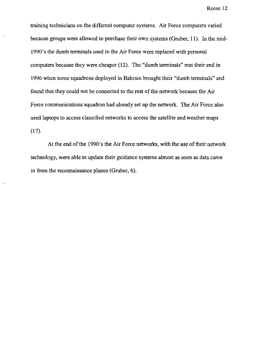training technicians on the different computer systems. Air Force computers varied because groups were allowed to purchase their own systems (Gruber, 11). In the mid-1990's the dumb terminals used in the Air Force were replaced with personal computers because they were cheaper (12). The "dumb terminals" met their end in 1996 when some squadrons deployed in Bahrain brought their "dumb terminals" and found that they could not be connected to the rest of the network because the Air Force communications squadron had already set up the network. The Air Force also used laptops to access classified networks to access the satellite and weather maps (17).

At the end of the 1990's the Air Force networks, with the use of their network technology, were able to update their guidance systems almost as soon as data came in from the reconnaissance planes (Gruber, 6).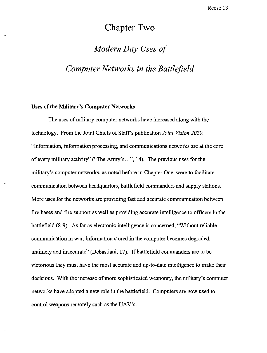## Chapter Two

# *Modern Day Uses of*

### *Computer Networks in the Battlefield*

#### Uses of the Military's Computer Networks

The uses of military computer networks have increased along with the technology. From the Joint Chiefs of Staffs publication *Joint Vision 2020.*  "Information, information processing, and communications networks are at the core of every military activity" ("The Army's ... ", 14). The previous uses for the military's computer networks, as noted before in Chapter One, were to facilitate communication between headquarters, battlefield commanders and supply stations. More uses for the networks are providing fast and accurate communication between fire bases and fire support as well as providing accurate intelligence to officers in the battlefield (8-9). As far as electronic intelligence is concerned, "Without reliable communication in war, information stored in the computer becomes degraded, untimely and inaccurate" (Debastiani, 17). If battlefield commanders are to be victorious they must have the most accurate and up-to-date intelligence to make their decisions. With the increase of more sophisticated weaponry, the military's computer networks have adopted a new role in the battlefield. Computers are now used to control weapons remotely such as the DAY's.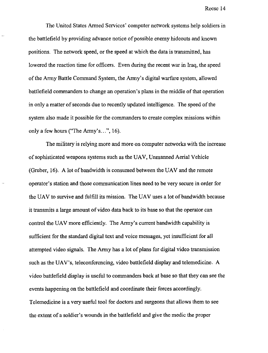The United States Armed Services' computer network systems help soldiers in the battlefield by providing advance notice of possible enemy hideouts and known positions. The network speed, or the speed at which the data is transmitted, has lowered the reaction time for officers. Even during the recent war in Iraq, the speed ofthe Army Battle Command System, the Army's digital warfare system, allowed battlefield commanders to change an operation's plans in the middle of that operation in only a matter of seconds due to recently updated intelligence. The speed of the system also made it possible for the commanders to create complex missions within only a few hours ("The Army's...", 16).

The military is relying more and more on computer networks with the increase of sophisticated weapons systems such as the UAV, Unmanned Aerial Vehicle (Gruber, 16). A lot of bandwidth is consumed between the UAV and the remote operator's station and those communication lines need to be very secure in order for the UAV to survive and fulfill its mission. The UAV uses a lot of bandwidth because it transmits a large amount of video data back to its base so that the operator can control the UAV more efficiently. The Army's current bandwidth capability is sufficient for the standard digital text and voice messages, yet insufficient for all attempted video signals. The Army has a lot of plans for digital video transmission such as the UAV's, teleconferencing, video battlefield display and telemedicine. A video battlefield display is useful to commanders back at base so that they can see the events happening on the battlefield and coordinate their forces accordingly. Telemedicine is a very useful tool for doctors and surgeons that allows them to see the extent of a soldier's wounds in the battlefield and give the medic the proper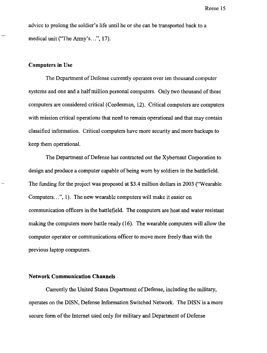advice to prolong the soldier's life until he or she can be transported back to a medical unit ("The Army's...", 17).

#### **Computers in** Use

The Department of Defense currently operates over ten thousand computer systems and one and a half million personal computers. Only two thousand of these computers are considered critical (Cordesman, 12). Critical computers are computers with mission critical operations that need to remain operational and that may contain classified information. Critical computers have more security and more backups to keep them operational.

The Department of Defense has contracted out the Xybernaut Corporation to design and produce a computer capable of being worn by soldiers in the battlefield. The funding for the project was proposed at \$3.4 million dollars in 2003 ("Wearable Computers...", 1). The new wearable computers will make it easier on communication officers in the battlefield. The computers are heat and water resistant making the computers more battle ready (16). The wearable computers will allow the computer operator or communications officer to move more freely than with the previous laptop computers.

#### **Network Communication Channels**

Currently the United States Department of Defense, including the military, operates on the DISN, Defense Information Switched Network. The DISN is a more secure form of the Internet used only for military and Department of Defense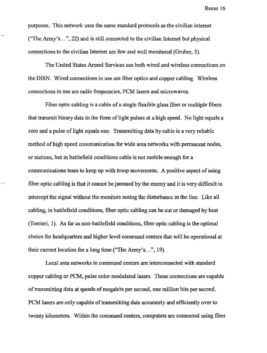purposes. This network uses the same standard protocols as the civilian internet ("The Anny's ... ",22) and is still connected to the civilian Internet but physical connections to the civilian Internet are few and well monitored (Gruber, 3).

The United States Armed Services use both wired and wireless connections on the DISN. Wired connections in use are fiber optics and copper cabling. Wireless connections in use are radio frequencies, PCM lasers and microwaves.

Fiber optic cabling is a cable of a single flexible glass fiber or multiple fibers that transmit binary data in the form of light pulses at a high speed. No light equals a zero and a pulse of light equals one. Transmitting data by cable is a very reliable method of high speed communication for wide area networks with permanent nodes, or stations, but in battlefield conditions cable is not mobile enough for a communications team to keep up with troop movements. A positive aspect of using fiber optic cabling is that it cannot be jammed by the enemy and it is very difficult to intercept the signal without the monitors noting the disturbance in the line. Like all cabling, in battlefield conditions, fiber optic cabling can be cut or damaged by heat (Torrieri, 1). As far as non-battlefield conditions, fiber optic cabling is the optimal choice for headquarters and higher level command centers that will be operational at their current location for a long time ("The Army's...", 19).

Local area networks in command centers are interconnected with standard copper cabling or PCM, pulse color modulated lasers. These connections are capable of transmitting data at speeds of megabits per second, one million bits per second. PCM lasers are only capable of transmitting data accurately and efficiently over to twenty kilometers. Within the command centers, computers are connected using fiber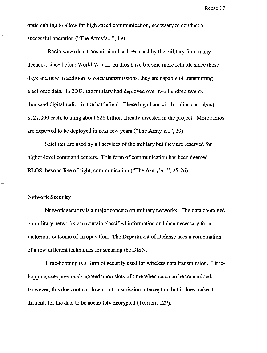optic cabling to allow for high speed communication, necessary to conduct a successful operation ("The Army's...", 19).

Radio wave data transmission has been used by the military for a many decades, since before World War II. Radios have become more reliable since those days and now in addition to voice transmissions, they are capable of transmitting electronic data. In 2003, the military had deployed over two hundred twenty thousand digital radios in the battlefield. These high bandwidth radios cost about \$127,000 each, totaling about \$28 billion already invested in the project. More radios are expected to be deployed in next few years ("The Army's...", 20).

Satellites are used by all services of the military but they are reserved for higher-level command centers. This form of communication has been deemed BLOS, beyond line of sight, communication ("The Army's...", 25-26).

#### **Network Security**

Network security is a major concern on military networks. The data contained on military networks can contain classified information and data necessary for a victorious outcome of an operation. The Department of Defense uses a combination of a few different techniques for securing the DISN.

Time-hopping is a form of security used for wireless data transmission. Timehopping uses previously agreed upon slots of time when data can be transmitted. However, this does not cut down on transmission interception but it does make it difficult for the data to be accurately decrypted (Torrieri, 129).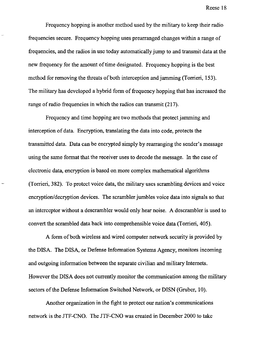Frequency hopping is another method used by the military to keep their radio frequencies secure. Frequency hopping uses prearranged changes within a range of frequencies, and the radios in use today automatically jump to and transmit data at the new frequency for the amount of time designated. Frequency hopping is the best method for removing the threats of both interception and jamming (Torrieri, 153). The military has developed a hybrid form of frequency hopping that has increased the range of radio frequencies in which the radios can transmit (217).

Frequency and time hopping are two methods that protect jamming and interception of data. Encryption, translating the data into code, protects the transmitted data. Data can be encrypted simply by rearranging the sender's message using the same format that the receiver uses to decode the message. In the case of electronic data, encryption is based on more complex mathematical algorithms (Torrieri, 382). To protect voice data, the military uses scrambling devices and voice encryption/decryption devices. The scrambler jumbles voice data into signals so that an interceptor without a descrambler would only hear noise. A descrambler is used to convert the scrambled data back into comprehensible voice data (Torrieri, 405).

A form of both wireless and wired computer network security is provided by the DISA. The DISA, or Defense Information Systems Agency, monitors incoming and outgoing information between the separate civilian and military Intemets. However the DISA does not currently monitor the communication among the military sectors of the Defense Information Switched Network, or DISN (Gruber, 10).

Another organization in the fight to protect our nation's communications network is the JTF-CNO. The JTF-CNO was created in December 2000 to take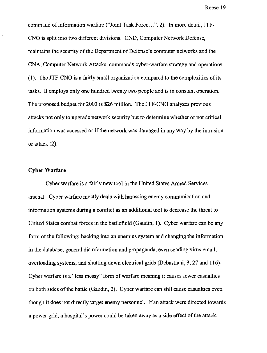command of information warfare ("Joint Task Force...", 2). In more detail, JTF-CNO is split into two different divisions. CND, Computer Network Defense, maintains the security of the Department of Defense's computer networks and the CNA, Computer Network Attacks, commands cyber-warfare strategy and operations (1). The JTF-CNO is a fairly small organization compared to the complexities of its tasks. It employs only one hundred twenty two people and is in constant operation. The proposed budget for 2003 is \$26 million. The JTF-CNO analyzes previous attacks not only to upgrade network security but to detennine whether or not critical information was accessed or if the network was damaged in any way by the intrusion or attack (2).

#### **Cyber Warfare**

Cyber warfare is a fairly new tool in the United States Anned Services arsenal. Cyber warfare mostly deals with harassing enemy communication and information systems during a conflict as an additional tool to decrease the threat to United States combat forces in the battlefield (Gaudin, 1). Cyber warfare can be any form of the following: hacking into an enemies system and changing the information in the database, general disinformation and propaganda, even sending virus email, overloading systems, and shutting down electrical grids (Debastiani, 3, 27 and 116). Cyber warfare is a "less messy" form of warfare meaning it causes fewer casualties on both sides of the battle (Gaudin, 2). Cyber warfare can still cause casualties even though it does not directly target enemy personnel. If an attack were directed towards a power grid, a hospital's power could be taken away as a side effect of the attack.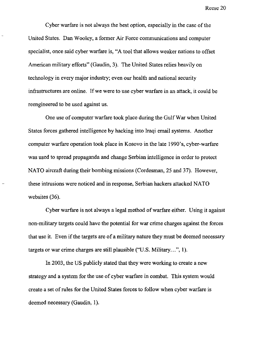Cyber warfare is not always the best option, especially in the case of the United States. Dan Wooley, a former Air Force communications and computer specialist, once said cyber warfare is, "A tool that allows weaker nations to offset American military efforts" (Gaudin, 3). The United States relies heavily on technology in every major industry; even our health and national security infrastructures are online. If we were to use cyber warfare in an attack, it could be reengineered to be used against us.

One use of computer warfare took place during the Gulf War when United States forces gathered intelligence by hacking into Iraqi email systems. Another computer warfare operation took place in Kosovo in the late 1990's, cyber-warfare was used to spread propaganda and change Serbian intelligence in order to protect NATO aircraft during their bombing missions (Cordesman, 25 and 37). However, these intrusions were noticed and in response, Serbian hackers attacked NATO websites (36).

Cyber warfare is not always a legal method of warfare either. Using it against non-military targets could have the potential for war crime charges against the forces that use it. Even if the targets are of a military nature they must be deemed necessary targets or war crime charges are still plausible ("U.S. Military...", 1).

In 2003, the US publicly stated that they were working to create a new strategy and a system for the use of cyber warfare in combat. This system would create a set of rules for the United States forces to follow when cyber warfare is deemed necessary (Gaudin, I).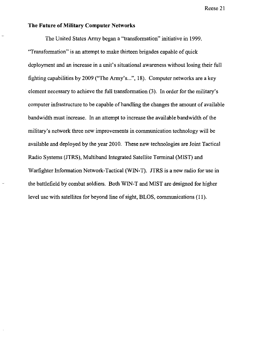#### **The Future** of Military **Computer Networks**

The United States Army began a "transformation" initiative in 1999. "Transformation" is an attempt to make thirteen brigades capable of quick deployment and an increase in a unit's situational awareness without losing their full fighting capabilities by 2009 ("The Army's...", 18). Computer networks are a key element necessary to achieve the full transformation (3). In order for the military's computer infrastructure to be capable of handling the changes the amount of available bandwidth must increase. In an attempt to increase the available bandwidth of the military's network three new improvements in communication technology will be available and deployed by the year 2010. These new technologies are Joint Tactical Radio Systems (JTRS), Multiband Integrated Satellite Terminal (MIST) and Warfighter Information Network-Tactical (WIN-T). JTRS is a new radio for use in the battlefield by combat soldiers. Both WIN-T and MIST are designed for higher level use with satellites for beyond line of sight, BLOS, communications (II).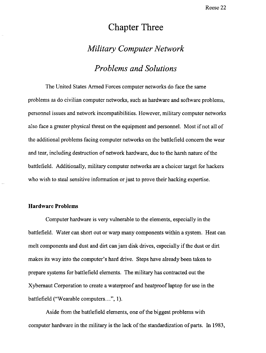## **Chapter Three**

### *Military Computer Network*

### *Problems and Solutions*

The United States Armed Forces computer networks do face the same problems as do civilian computer networks, such as hardware and software problems, personnel issues and network incompatibilities. However, military computer networks also face a greater physical threat on the equipment and personnel. Most if not all of the additional problems facing computer networks on the battlefield concern the wear and tear, including destruction of network hardware, due to the harsh nature of the battlefield. Additionally, military computer networks are a choicer target for hackers who wish to steal sensitive information or just to prove their hacking expertise.

#### **Hardware Problems**

Computer hardware is very vulnerable to the elements, especially in the battlefield. Water can short out or warp many components within a system. Heat can melt components and dust and **dirt** can jam disk drives, especially if the dust or dirt makes its way into the computer's hard drive. Steps have already been taken to prepare systems for battlefield elements. The military has contracted out the Xybernaut Corporation to create a waterproof and heatproof laptop for use in the battlefield ("Wearable computers...", 1).

Aside from the battlefield elements, one of the biggest problems with computer hardware in the military is the lack of the standardization of parts. In 1983,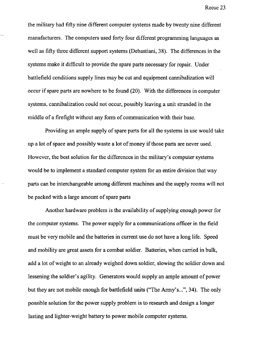the military had fifty nine different computer systems made by twenty nine different manufacturers. The computers used forty four different programming languages as well as fifty three different support systems (Debastiani, 38). The differences in the systems make it difficult to provide the spare parts necessary for repair. Under battlefield conditions supply lines may be cut and equipment cannibalization will occur if spare parts are nowhere to be found (20). With the differences in computer systems, cannibalization could not occur, possibly leaving a unit stranded in the middle of a firefight without any form of communication with their base.

Providing an ample supply of spare parts for all the systems in use would take up a lot of space and possibly waste a lot of money if those parts are never used. However, the best solution for the differences in the military's computer systems would be to implement a standard computer system for an entire division that way parts can be interchangeable among different machines and the supply rooms will not be packed with a large amount of spare parts

Another hardware problem is the availability of supplying enough power for the computer systems. The power supply for a communications officer in the field must be very mobile and the batteries in current use do not have a long life. Speed and mobility are great assets for a combat soldier. Batteries, when carried in bulk, add a lot of weight to an already weighed down soldier, slowing the soldier down and lessening the soldier's agility. Generators would supply an ample amount of power but they are not mobile enough for battlefield units ("The Army's ... ", 34). The only possible solution for the power supply problem is to research and design a longer lasting and lighter-weight battery to power mobile computer systems.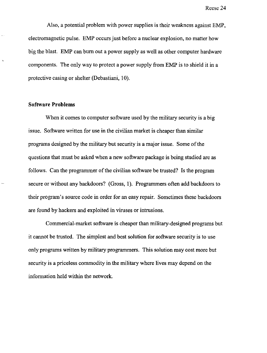Also, a potential problem with power supplies is their weakness against EMP, electromagnetic pulse. EMP occurs just before a nuclear explosion, no matter how big the blast. EMP can burn out a power supply as well as other computer hardware components. The only way to protect a power supply from EMP is to shield it in a protective casing or shelter (Debastiani, 10).

#### **Software Problems**

When it comes to computer software used by the military security is a big issue. Software written for use in the civilian market is cheaper than similar programs designed by the military but security is a major issue. Some of the questions that must be asked when a new software package is being studied are as follows. Can the programmer of the civilian software be trusted? Is the program secure or without any backdoors? (Gross, 1). Programmers often add backdoors to their program's source code in order for an easy repair. Sometimes these backdoors are found by hackers and exploited in viruses or intrusions.

Commercial-market software is cheaper than military-designed programs but it cannot be trusted. The simplest and best solution for software security is to use only programs written by military programmers. This solution may cost more but security is a priceless commodity in the military where lives may depend on the information held within the network.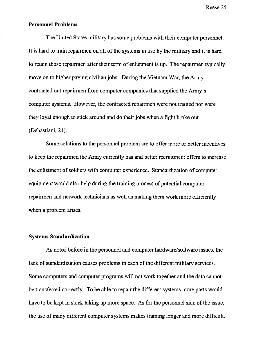#### **Personnel Problems**

The United States military has some problems with their computer personnel. It is hard to train repairmen on all of the systems in use by the military and it is hard to retain those repairmen after their term of enlistment is up. The repairmen typically move on to higher paying civilian jobs. During the Vietnam War, the Army contracted out repairmen from computer companies that supplied the Army's computer systems. However, the contracted repairmen were not trained nor were they loyal enough to stick around and do their jobs when a fight broke out (Debastiani, 21).

Some solutions to the personnel problem are to offer more or better incentives to keep the repairmen the Army currently has and better recruitment offers to increase the enlistment of soldiers with computer experience. Standardization of computer equipment would also help during the training process of potential computer repairmen and network technicians as well as making them work more efficiently when a problem arises.

#### Systems **Standardization**

As noted before in the personnel and computer hardware/software issues, the lack of standardization causes problems in each of the different military services. Some computers and computer programs will not work together and the data cannot be transferred correctly. To be able to repair the different systems more parts would have to be kept in stock taking up more space. As for the personnel side of the issue, the use of many different computer systems makes training longer and more difficult.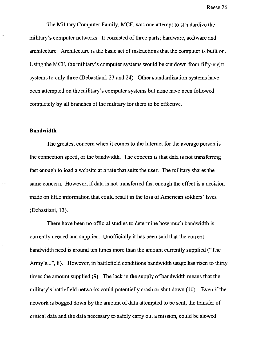The Military Computer Family, MCF, was one attempt to standardize the military's computer networks. It consisted of three parts; hardware, software and architecture. Architecture is the basic set of instructions that the computer is built on. Using the MCF, the military's computer systems would be cut down from fifty-eight systems to only three (Debastiani, 23 and 24). Other standardization systems have been attempted on the military's computer systems but none have been followed completely by all branches of the military for them to be effective.

#### **Bandwidth**

The greatest concern when it comes to the Internet for the average person is the connection speed, or the bandwidth. The concern is that data is not transferring fast enough to load a website at a rate that suits the user. The military shares the same concern. However, if data is not transferred fast enough the effect is a decision made on little information that could result in the loss of American soldiers' lives (Debastiani, 13).

There have been no official studies to determine how much bandwidth is currently needed and supplied. Unofficially it has been said that the current bandwidth need is around ten times more than the amount currently supplied ("The Army's...", 8). However, in battlefield conditions bandwidth usage has risen to thirty times the amount supplied (9). The lack in the supply of bandwidth means that the military's battlefield networks could potentially crash or shut down (10). Even if the network is bogged down by the amount of data attempted to be sent, the transfer of critical data and the data necessary to safely carry out a mission, could be slowed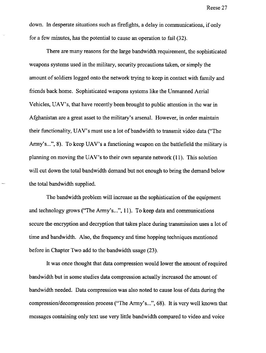down. In desperate situations such as firefights, a delay in communications, if only for a few minutes, has the potential to cause an operation to fail (32).

There are many reasons for the large bandwidth requirement, the sophisticated weapons systems used in the military, security precautions taken, or simply the amount of soldiers logged onto the network trying to keep in contact with family and friends back home. Sophisticated weapons systems like the Unmanned Aerial Vehicles, UAV's, that have recently been brought to public attention in the war in Afghanistan are a great asset to the military's arsenal. However, in order maintain their functionality, UAV's must use a lot of bandwidth to transmit video data ("The Army's...", 8). To keep UAV's a functioning weapon on the battlefield the military is planning on moving the UAV's to their own separate network (II). This solution will cut down the total bandwidth demand but not enough to bring the demand below the total bandwidth supplied.

The bandwidth problem will increase as the sophistication of the equipment and technology grows ("The Army's...", 11). To keep data and communications secure the encryption and decryption that takes place during transmission uses a lot of time and bandwidth. Also, the frequency and time hopping techniques mentioned before in Chapter Two add to the bandwidth usage (23).

It was once thought that data compression would lower the amount of required bandwidth but in some studies data compression actually increased the amount of bandwidth needed. Data compression was also noted to cause loss of data during the compression/decompression process ("The Army's ... ", 68). It is very well known that messages containing only text use very little bandwidth compared to video and voice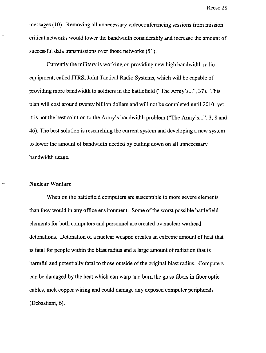messages (10). Removing all unnecessary videoconferencing sessions from mission critical networks would lower the bandwidth considerably and increase the amount of successful data transmissions over those networks (51).

Currently the military is working on providing new high bandwidth radio equipment, called JTRS, Joint Tactical Radio Systems, which will be capable of providing more bandwidth to soldiers in the battlefield ("The Army's...", 37). This plan will cost around twenty billion dollars and will not be completed until 2010, yet it is not the best solution to the Army's bandwidth problem ("The Army's ... ", 3, 8 and 46). The best solution is researching the current system and developing a new system to lower the amount of bandwidth needed by cutting down on all unnecessary bandwidth usage.

#### **Nuclear Warfare**

When on the battlefield computers are susceptible to more severe elements than they would in any office environment. Some of the worst possible battlefield elements for both computers and personnel are created by nuclear warhead detonations. Detonation of a nuclear weapon creates an extreme amount of heat that is fatal for people within the blast radius and a large amount of radiation that is harmful and potentially fatal to those outside of the original blast radius. Computers can be damaged by the heat which can warp and bum the glass fibers **in** fiber optic cables, melt copper wiring and could damage any exposed computer peripherals (Debastiani, 6).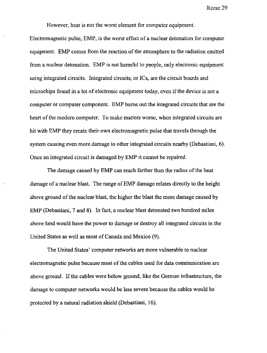However, heat is not the worst element for computer equipment.

Electromagnetic pulse, EMP, is the worst effect of a nuclear detonation for computer equipment. EMP comes from the reaction of the atmosphere to the radiation emitted from a nuclear detonation. EMP is not harmful to people, only electronic equipment using integrated circuits. Integrated circuits, or ICs, are the circuit boards and microchips found in a lot of electronic equipment today, even if the device is not a computer or computer component. EMP bums out the integrated circuits that are the heart of the modem computer. To make matters worse, when integrated circuits are hit with EMP they create their own electromagnetic pulse that travels through the system causing even more damage to other integrated circuits nearby (Debastiani, 6). Once an integrated circuit is damaged by EMP it cannot be repaired.

The damage caused by EMP can reach farther than the radius of the heat damage of a nuclear blast. The range of EMP damage relates directly to the height above ground of the nuclear blast, the higher the blast the more damage caused by EMP (Debastiani, 7 and 8). In fact, a nuclear blast detonated two hundred miles above land would have the power to damage or destroy all integrated circuits in the United States as well as most of Canada and Mexico (9).

The United States' computer networks are more vulnerable to nuclear electromagnetic pulse because most of the cables used for data communication are above ground. If the cables were below ground, like the German infrastructure, the damage to computer networks would be less severe because the cables would be protected by a natural radiation shield (Debastiani, 16).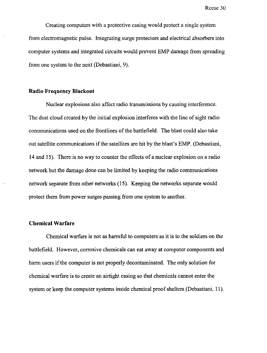Creating computers with a protective casing would protect a single system from electromagnetic pulse. Integrating surge protectors and electrical absorbers into computer systems and integrated circuits would prevent EMP damage from spreading from one system to the next (Debastiani, 9).

#### **Radio Frequency Blackout**

Nuclear explosions also affect radio transmissions by causing interference. The dust cloud created by the initial explosion interferes with the line of sight radio communications used on the frontlines of the battlefield. The blast could also take out satellite communications if the satellites are hit by the blast's EMP. (Debastiani, 14 and 15). There is no way to counter the effects of a nuclear explosion on a radio network but the damage done can be limited by keeping the radio communications network separate from other networks (15). Keeping the networks separate would protect them from power surges passing from one system to another.

#### **Chemical Warfare**

Chemical warfare is not as harmful to computers as it is to the soldiers on the battlefield. However, corrosive chemicals can eat away at computer components and harm users if the computer is not properly decontaminated. The only solution for chemical warfare is to create an airtight casing so that chemicals cannot enter the system or keep the computer systems inside chemical proof shelters (Debastiani, 11).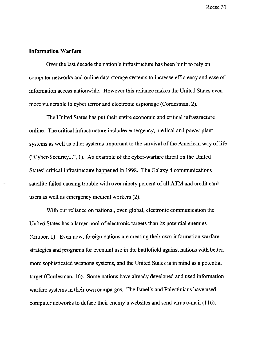#### **Information Warfare**

Over the last decade the nation's infrastructure has been built to rely on computer networks and online data storage systems to increase efficiency and ease of information access nationwide. However this reliance makes the United States even more vulnerable to cyber terror and electronic espionage (Cordesman, 2).

The United States has put their entire economic and critical infrastructure online. The critical infrastructure includes emergency, medical and power plant systems as well as other systems important to the survival of the American way of life ("Cyber-Security ... ",I). An example of the cyber-warfare threat on the United States' critical infrastructure happened in 1998. The Galaxy 4 communications satellite failed causing trouble with over ninety percent of all ATM and credit card users as well as emergency medical workers (2).

With our reliance on national, even global, electronic communication the United States has a larger pool of electronic targets than its potential enemies (Gruber, 1). Even now, foreign nations are creating their own information warfare strategies and programs for eventual use in the battlefield against nations with better, more sophisticated weapons systems, and the United States is in mind as a potential target (Cordesman, 16). Some nations have already developed and used information warfare systems in their own campaigns. The Israelis and Palestinians have used computer networks to deface their enemy's websites and send virus e-mail (116).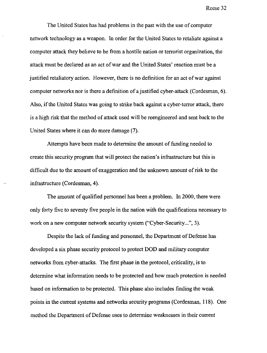The United States has had problems in the past with the use of computer network technology as a weapon. In order for the United States to retaliate against a computer attack they believe to be from a hostile nation or terrorist organization, the attack must be declared as an act of war and the United States' reaction must be a justified retaliatory action. However, there is no definition for an act of war against computer networks nor is there a definition of a justified cyber-attack (Cordesman, 6). Also, if the United States was going to strike back against a cyber-terror attack, there is a high risk that the method of attack used will be reengineered and sent back to the United States where it can do more damage (7).

Attempts have been made to determine the amount of funding needed to create this security program that will protect the nation's infrastructure but this is difficult due to the amount of exaggeration and the unknown amount of risk to the infrastructure (Cordesman, 4).

The amount of qualified personnel has been a problem. In 2000, there were only forty five to seventy five people in the nation with the qualifications necessary to work on a new computer network security system ("Cyber-Security...", 3).

Despite the lack of funding and personnel, the Department of Defense has developed a six phase security protocol to protect DOD and military computer networks from cyber-attacks. The first phase in the protocol, criticality, is to determine what information needs to be protected and how much protection is needed based on information to be protected. This phase also includes finding the weak points in the current systems and networks security programs (Cordesman, 118). One method the Department of Defense uses to determine weaknesses in their current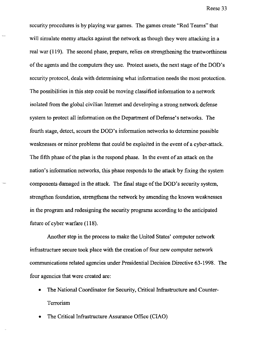security procedures is by playing war games. The games create "Red Teams" that will simulate enemy attacks against the network as though they were attacking in a real war (119). The second phase, prepare, relies on strengthening the trustworthiness of the agents and the computers they use. Protect assets, the next stage ofthe DOD's security protocol, deals with determining what information needs the most protection. The possibilities in this step could be moving classified information to a network isolated from the global civilian Internet and developing a strong network defense system to protect all information on the Department of Defense's networks. The fourth stage, detect, scours the DOD's information networks to determine possible weaknesses or minor problems that could be exploited in the event of a cyber-attack. The fifth phase of the plan is the respond phase. In the event of an attack on the nation's information networks, this phase responds to the attack by fixing the system components damaged in the attack. The final stage of the DOD's security system, strengthen foundation, strengthens the network by amending the known weaknesses in the program and redesigning the security programs according to the anticipated future of cyber warfare (118).

Another step in the process to make the United States' computer network infrastructure secure took place with the creation of four new computer network communications related agencies under Presidential Decision Directive 63-1998. The four agencies that were created are:

- The National Coordinator for Security, Critical Infrastructure and Counter-Terrorism
- The Critical Infrastructure Assurance Office (CIAO)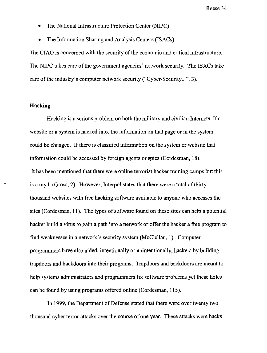- The National Infrastructure Protection Center (NIPC)
- The Information Sharing and Analysis Centers (ISACs)

The CIAO is concerned with the security of the economic and critical infrastructure. The NIPC takes care of the government agencies' network security. The ISACs take care of the industry's computer network security ("Cyber-Security...", 3).

#### **Hacking**

Hacking is a serious problem on both the military and civilian Internets. If a website or a system is hacked into, the information on that page or in the system could be changed. If there is classified information on the system or website that information could be accessed by foreign agents or spies (Cordesman, 18). It has been mentioned that there were online terrorist hacker training camps but this is a myth (Gross, 2). However, Interpol states that there were a total of thirty thousand websites with free hacking software available to anyone who accesses the sites (Cordesman, **11).** The types of software found on these sites can help a potential hacker build a virus to gain a path into a network or offer the hacker a free program to find weaknesses in a network's security system (McClellan, 1). Computer programmers have also aided, intentionally or unintentionally, hackers by building trapdoors and backdoors into their programs. Trapdoors and backdoors are meant to help systems administrators and programmers fix software problems yet these holes can be found by using programs offered online (Cordesman, 115).

In 1999, the Department of Defense stated that there were over twenty two thousand cyber terror attacks over the course of one year. These attacks were hacks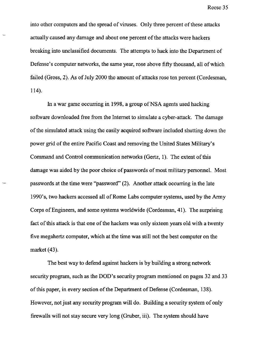into other computers and the spread of viruses. Only three percent of these attacks actually caused any damage and about one percent of the attacks were hackers breaking into unclassified documents. The attempts to hack into the Department of Defense's computer networks, the same year, rose above fifty thousand, all of which failed (Gross, 2). As of July 2000 the amount of attacks rose ten percent (Cordesman, 114).

In a war game occurring in 1998, a group of NSA agents used hacking software downloaded free from the Internet to simulate a cyber-attack. The damage ofthe simulated attack using the easily acquired software included shutting down the power grid of the entire Pacific Coast and removing the United States Military's Command and Control communication networks (Gertz, 1). The extent of this damage was aided by the poor choice of passwords of most military personnel. Most passwords at the time were "password" (2). Another attack occurring in the late 1990's, two hackers accessed all of Rome Labs computer systems, used by the Army Corps of Engineers, and some systems worldwide (Cordesman, 41). The surprising fact of this attack is that one of the hackers was only sixteen years old with a twenty five megahertz computer, which at the time was still not the best computer on the market (43).

The best way to defend against hackers is by building a strong network security program, such as the DOD's security program mentioned on pages 32 and 33 of this paper, in every section of the Department of Defense (Cordesman, 138). However, not just any security program will do. Building a security system of only firewalls will not stay secure very long (Gruber, iii). The system should have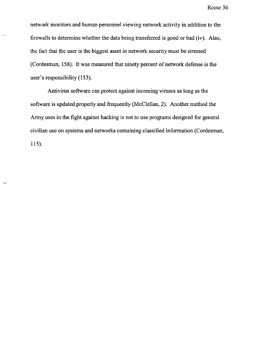network monitors and human personnel viewing network activity in addition to the firewalls to determine whether the data being transferred is good or bad (iv). Also, the fact that the user is the biggest asset in network security must be stressed (Cordesman, 158). It was measured that ninety percent of network defense is the user's responsibility (153).

Antivirus software can protect against incoming viruses as long as the software is updated properly and frequently (McClellan, 2). Another method the Army uses in the fight against hacking is not to use programs designed for general civilian use on systems and networks containing classified information (Cordesman, 115).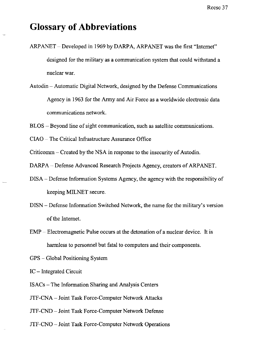## **Glossary of Abbreviations**

- ARPANET Developed in 1969 by DARPA, ARPANET was the first "Internet" designed for the military as a communication system that could withstand a nuclear war.
- Autodin Automatic Digital Network, designed by the Defense Communications Agency in 1963 for the Army and Air Force as a worldwide electronic data communications network.
- BLOS Beyond line of sight communication, such as satellite communications.
- CIAO The Critical Infrastructure Assurance Office

Criticomm - Created by the NSA in response to the insecurity of Autodin.

DARPA - Defense Advanced Research Projects Agency, creators of ARPANET.

- DISA Defense Information Systems Agency, the agency with the responsibility of keeping MILNET secure.
- DISN Defense Information Switched Network, the name for the military's version of the Internet.
- EMP Electromagnetic Pulse occurs at the detonation of a nuclear device. It is harmless to personnel but fatal to computers and their components.
- GPS Global Positioning System

IC - Integrated Circuit

- ISACs The Information Sharing and Analysis Centers
- JTF-CNA Joint Task Force-Computer Network Attacks
- JTF-CND Joint Task Force-Computer Network Defense
- JTF-CNO Joint Task Force-Computer Network Operations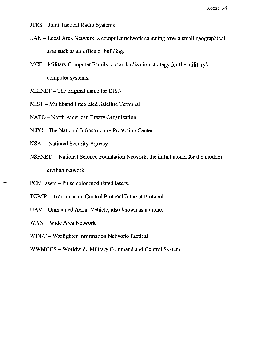- JTRS Joint Tactical Radio Systems
- LAN Local Area Network, a computer network spanning over a small geographical area such as an office or building.
- MCF Military Computer Family, a standardization strategy for the military's computer systems.
- MILNET The original name for DISN
- MIST Multiband Integrated Satellite Terminal
- NATO North American Treaty Organization
- NIPC The National Infrastructure Protection Center
- NSA National Security Agency
- NSFNET National Science Foundation Network, the initial model for the modern civilian network.
- PCM lasers Pulse color modulated lasers.
- TCP/IP Transmission Control Protocol/Internet Protocol
- UAV Unmanned Aerial Vehicle, also known as a drone.
- WAN Wide Area Network
- WIN-T Warfighter Information Network-Tactical
- WWMCCS Worldwide Military Command and Control System.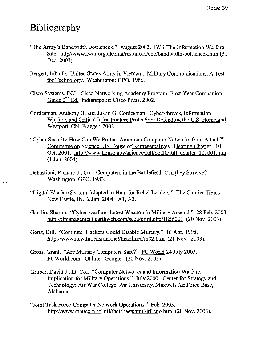# **Bibliography**

- "The Army's Bandwidth Bottleneck." August 2003. IWS-The Information Warfare Site. http//www.iwar.org.uk/rma/resources/cbo/bandwidth-bottleneck.htm (31) Dec. 2003).
- Bergen, John D. United States Army in Vietnam. Military Communications, A Test for Technology. Washington: GPO, 1986.
- Cisco Systems, INC. Cisco Networking Academy Program: First-Year Companion Guide 2nd Ed. Indianapolis: Cisco Press, 2002.
- Cordesman, Anthony H. and Justin G. Cordesman. Cyber-threats, Infonnation Warfare, and Critical Infrastructure Protection: Defending the U.S. Homeland. Westport, CN: Praeger, 2002.
- "Cyber Security-How Can We Protect American Computer Networks from Attack?" Committee on Science: US House of Representatives. Hearing Charter. 10 Oct. 2001. http://www.house.gov/science/full/oct10/full charter 101001.htm (1 Jan. 2004).
- Debastiani, Richard J., Col. Computers in the Battlefield: Can they Survive? Washington: GPO, 1983.
- "Digital Warfare System Adapted to Hunt for Rebel Leaders." The Courier Times. New Castle, IN. 2 Jan. 2004. AI, A3.
- Gaudin, Sharon. "Cyber-warfare: Latest Weapon in Military Arsenal." 28 Feb. 2003. http://itmanagement.earthweb.com/secu/print.php/1856001 (20 Nov. 2003).
- Gertz, Bill. "Computer Hackers Could Disable Military." 16 Apr. 1998. http://www.newdimensions.net/headlines/m02.htm (21 Nov. 2003).
- Gross, Grant. "Are Military Computers Safe?" PC World 24 July 2003. PCWorld.com. Online. Google. (20 Nov. 2003).
- Gruber, David J., Lt. Col. "Computer Networks and Information Warfare: Implication for Military Operations." July 2000. Center for Strategy and Technology: Air War College: Air University, Maxwell Air Force Base, Alabama.
- "Joint Task Force-Computer Network Operations." Feb. 2003. http://www.stratcom.af.mil/factsheetshtml/jtf-cno.htm (20 Nov. 2003).